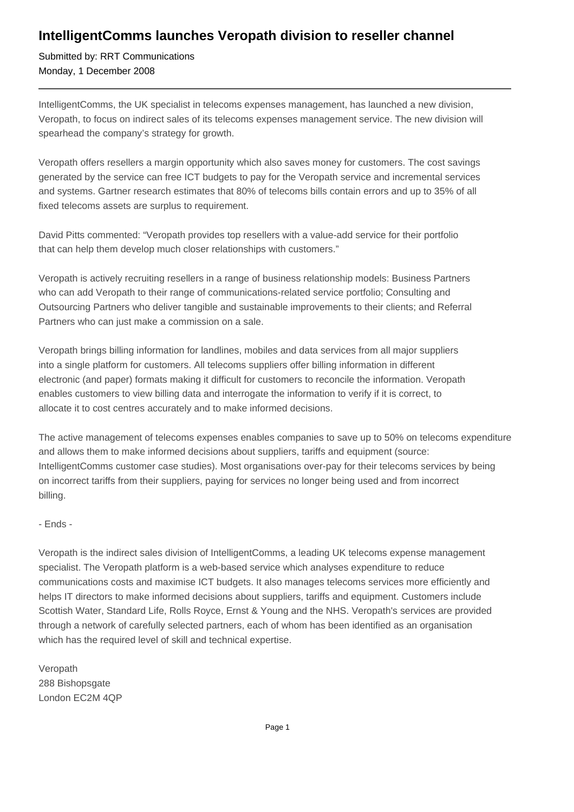## **IntelligentComms launches Veropath division to reseller channel**

Submitted by: RRT Communications Monday, 1 December 2008

IntelligentComms, the UK specialist in telecoms expenses management, has launched a new division, Veropath, to focus on indirect sales of its telecoms expenses management service. The new division will spearhead the company's strategy for growth.

Veropath offers resellers a margin opportunity which also saves money for customers. The cost savings generated by the service can free ICT budgets to pay for the Veropath service and incremental services and systems. Gartner research estimates that 80% of telecoms bills contain errors and up to 35% of all fixed telecoms assets are surplus to requirement.

David Pitts commented: "Veropath provides top resellers with a value-add service for their portfolio that can help them develop much closer relationships with customers."

Veropath is actively recruiting resellers in a range of business relationship models: Business Partners who can add Veropath to their range of communications-related service portfolio; Consulting and Outsourcing Partners who deliver tangible and sustainable improvements to their clients; and Referral Partners who can just make a commission on a sale.

Veropath brings billing information for landlines, mobiles and data services from all major suppliers into a single platform for customers. All telecoms suppliers offer billing information in different electronic (and paper) formats making it difficult for customers to reconcile the information. Veropath enables customers to view billing data and interrogate the information to verify if it is correct, to allocate it to cost centres accurately and to make informed decisions.

The active management of telecoms expenses enables companies to save up to 50% on telecoms expenditure and allows them to make informed decisions about suppliers, tariffs and equipment (source: IntelligentComms customer case studies). Most organisations over-pay for their telecoms services by being on incorrect tariffs from their suppliers, paying for services no longer being used and from incorrect billing.

## - Ends -

Veropath is the indirect sales division of IntelligentComms, a leading UK telecoms expense management specialist. The Veropath platform is a web-based service which analyses expenditure to reduce communications costs and maximise ICT budgets. It also manages telecoms services more efficiently and helps IT directors to make informed decisions about suppliers, tariffs and equipment. Customers include Scottish Water, Standard Life, Rolls Royce, Ernst & Young and the NHS. Veropath's services are provided through a network of carefully selected partners, each of whom has been identified as an organisation which has the required level of skill and technical expertise.

Veropath 288 Bishopsgate London EC2M 4QP